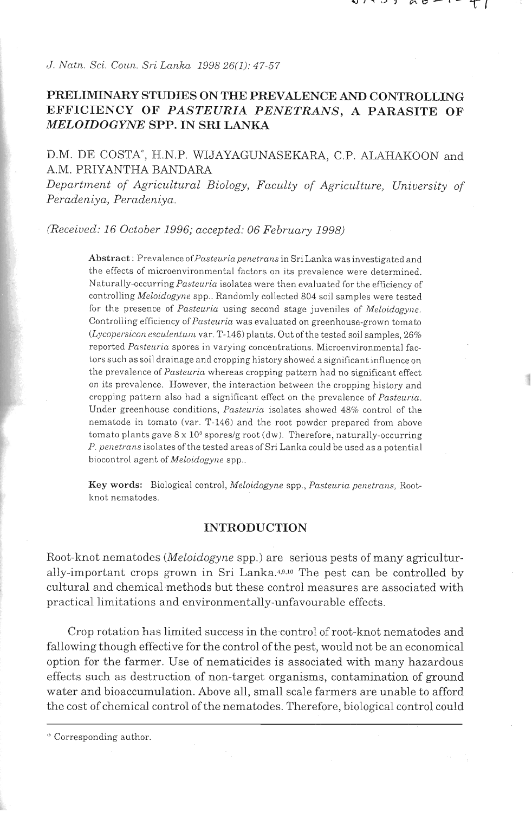*J. Natn. Sci. Coun. SI-i Lanka 1998 26(1):* 47-57

# **PRELIMINARY STUDIES ON THE PREVALENCE** AND **CONTROLLING EFFICIENCY OF** *PASTEURIA PENETRANS,* **A PARASITE OF**  *MELOIDOGYNE* **SPP. IN SRI LANKA**

## D.M. DE COSTA", H.N.P. WIJAYAGUNASEKARA, C.P. ALAHAKOON and A.M. PRIYANTHA BANDARA

Department of Agricultural Biology, Faculty of Agriculture, University of *Peradeniya, Peradeniya.* 

*(Received: 16 October 1996; accepted: 06 February 1998)* 

Abstract: Prevalence of Pasteuria penetrans in Sri Lanka was investigated and the effects of microenvironmental factors on its prevalence were determined. Naturally-occurring *Pasteuria* isolates were then evaluated for the efficiency of controlling Meloidogyne spp.. Randomly collected 804 soil samples were tested for the presence of Pasteuria using second stage juveniles of Meloidogyne. Controlling efficiency of Pasteuria was evaluated on greenhouse-grown tomato (Lycopersicon esculentum var. T-146) plants. Out of the tested soil samples,  $26%$ reported Pasteuria spores in varying concentrations. Microenvironmental factors such as soil drainage and cropping history showed a significant influence on the prevalence of Pasteuria whereas cropping pattern had no significant effect on its prevalence. However, the interaction between the cropping history and cropping pattern also had a significant effect on the prevalence of Pasteuria. Under greenhouse conditions, Pasteuria isolates showed 48% control of the nematode in tomato (var. T-146) and the root powder prepared from above tomato plants gave  $8 \times 10^5$  spores/g root (dw). Therefore, naturally-occurring P. penetrans isolates of the tested areas of Sri Lanka could be used as a potential biocontrol agent of Meloidogyne spp..

Key words: Biological control, Meloidogyne spp., Pasteuria penetrans, Rootknot nematodes.

### **INTRODUCTION**

Root-knot nematodes *(Meloidogyne* spp.) are serious pests of many agriculturally-important crops grown in Sri Lanka.4.9.10 The pest can be controlled by cultural and chemical methods but these control measures are associated with practical limitations and environmentally-unfavourable effects.

Crop rotation has limited success in the control of root-knot nematodes and fallowing though effective for the control of the pest, would not be an economical option for the farmer. Use of nematicides is associated with many hazardous effects such as destruction of non-target organisms, contamination of ground water and bioaccumulation. Above all, small scale farmers are unable to afford the cost of chemical control of the nematodes. Therefore, biological control could

<sup>&#</sup>x27;"orresponding author.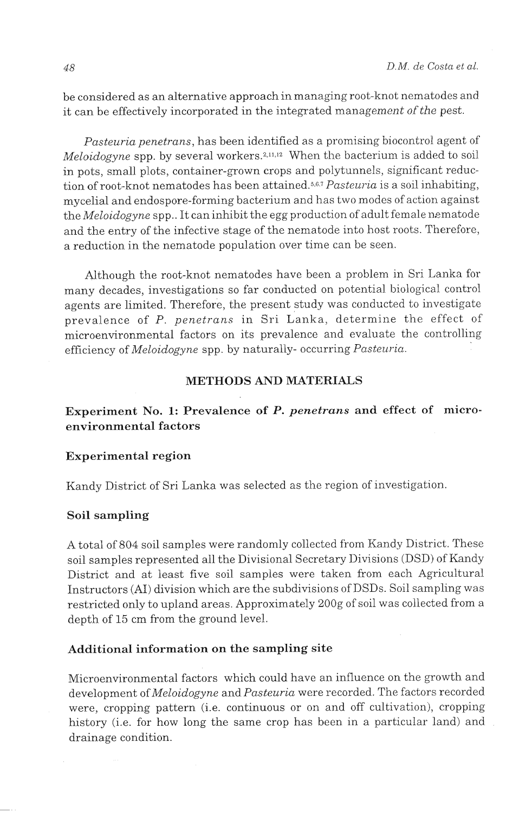be considered as an alternative approach in managing root-knot nematodes and it can be effectively incorporated in the integrated management of the pest.

*Pasteuria penetrans,* has been identified as a promising biocontrol agent of *Meloidogyne* spp. by several workers.<sup>2,11,12</sup> When the bacterium is added to soil in pots, small plots, container-grown crops and polytunnels, significant reduction of root-knot nematodes has been attained.<sup>5,6,7</sup> *Pasteuria* is a soil inhabiting, mycelial and endospore-forming bacterium and has two modes of action against the *Meloidogyne* spp.. It can inhibit the egg production of adult female nematode and the entry of the infective stage of the nematode into host roots. Therefore, a reduction in the nematode population over time can be seen.

Although the root-knot nematodes have been a problem in Sri Lanka for many decades, investigations so far conducted on potential biological control agents are limited. Therefore, the present study was conducted to investigate prevalence of *P. penetrans* in Sri Lanka, determine the effect of microenvironmental factors on its prevalence and evaluate the controlling efficiency of *Meloidogyne* spp. by naturally- occurring *Pasteuria.* 

### **METHODS AND MATERIALS**

Experiment No. 1: Prevalence of P. *penetrans* and effect of micro**environmental factors** 

### **Experimental region**

Kandy District of Sri Lanka was selected as the region of investigation.

#### **Soil sampling**

A total of 804 soil samples were randomly collected from Kandy District. These soil samples represented all the Divisional Secretary Divisions (DSD) of Kandy District and at least five soil samples were taken from each Agricultural Instructors (AI) division which are the subdivisions of DSDs. Soil sampling was restricted only to upland areas. Approximately 200g of soil was collected from a depth of 15 cm from the ground level.

## **Additional information on the sampling site**

Microenvironmental factors which could have an influence on the growth and development of *Meloidogyne* and *Pasteuria* were recorded. The factors recorded were, cropping pattern (i.e. continuous or on and off cultivation), cropping history (i.e. for how long the same crop has been in a particular land) and drainage condition.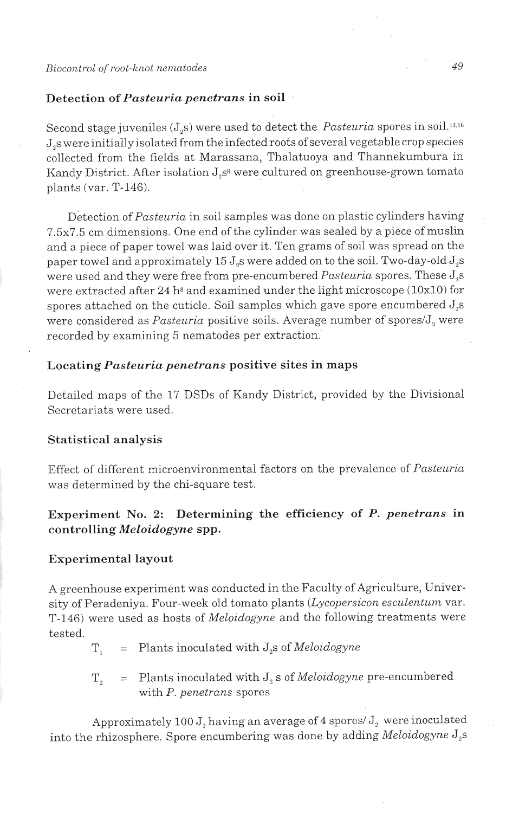#### *Biocon.tr01 ofroot-knot nematodes*

### Detection of *Pasteuria penetrans* in soil

Second stage juveniles (J<sub>2</sub>s) were used to detect the *Pasteuria* spores in soil.<sup>13,16</sup> J,s were initially isolated from the infected roots of several vegetable crop species collected from the Gelds at Marassana, Thalatuoya and Thannekumbura in Kandy District. After isolation J,s<sup>8</sup> were cultured on greenhouse-grown tomato plants (var. T-146).

Detection of *Pasteuria* in soil samples was done on plastic cylinders having 7.5x7.5 cm dimensions. One end of the cylinder was sealed by a piece of muslin and a piece of paper towel was laid over it. Ten grams of soil was spread on the paper towel and approximately 15 J,s were added on to the soil. Two-day-old J,s were used and they were free from pre-encumbered *Pasteuria* spores. These J<sub>2</sub>s were extracted after 24 h<sup>s</sup> and examined under the light microscope (10x10) for spores attached on the cuticle. Soil samples which gave spore encumbered J,s were considered as *Pasteuria* positive soils. Average number of spores/J<sub>2</sub> were recorded by examining 5 nematodes per extraction.

### Locating *Pasteuria penetrans* positive sites in maps

Detailed maps of the 17 DSDs of Kandy District, provided by the Divisional Secretariats were used.

### Statistical analysis

Effect of different microenvironmental factors on the prevalence of *Pasteziria*  was determined by the chi-square test.

Experiment No. **2:** Determining the efficiency of P. *penetrans* in controlling *Meloidogyne* spp.

### Experimental layout

A greenhouse experiment was conducted in the Faculty of Agriculture, University of Peradeniya. Four-week old tomato plants (Lycopersicon esculentum var. T-146) were used as hosts of *Meloidogyne* and the following treatments were tested.

T, = Plants inoculated with J,s of *Meloidogyne* 

T, = Plants inoculated with J, s of *Meloidogyne* pre-encumbered with *P. penetrans* spores

Approximately 100  $J_2$  having an average of 4 spores/ $J_2$  were inoculated into the rhizosphere. Spore encumbering was done by adding *Meloidogyize* J,s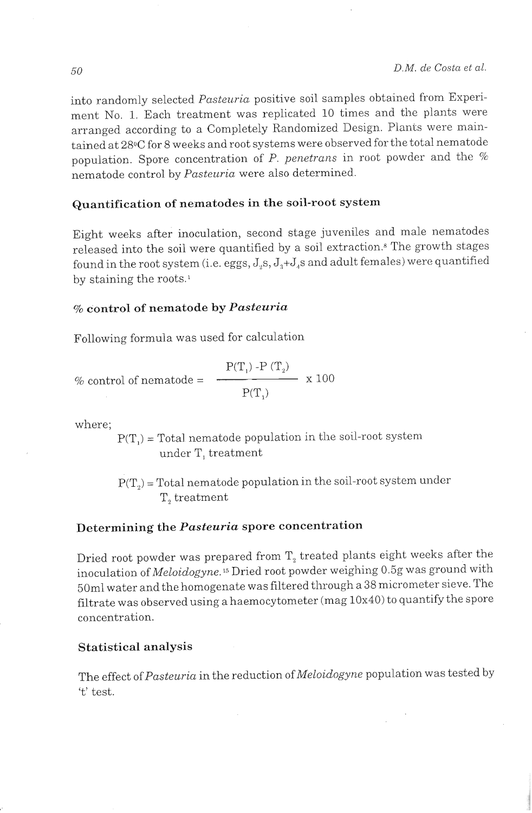into randomly selected Pasteuria positive soil samples obtained from Experiment No. 1. Each treatment was replicated 10 times and the plants were arranged according to a Completely Randomized Design. Plants were maintained at 28oC for 8 weeks and root systems were observed for the total nematode population. Spore concentration of  $P$ . penetrans in root powder and the  $%$ nematode control by Pasteuria were also determined.

# Quantification of nematodes in the soil-root system

Eight weeks after inoculation, second stage juveniles and male nematodes released into the soil were quantified. by a soil extraction.8 The growth stages found in the root system (i.e. eggs,  $J_s$ ,  $J_s$ + $J_s$ s and adult females) were quantified by staining the roots.'

## % control of nematode by *Pasteuria*

Following formula was used for calculation

% control of nematode = 
$$
\frac{P(T_1) - P(T_2)}{P(T_1)} \times 100
$$

where;

 $P(T)$  = Total nematode population in the soil-root system under T, treatment

 $P(T_2)$  = Total nematode population in the soil-root system under T<sub>2</sub> treatment

# Determining the *Pasteuria* spore concentration

Dried root powder was prepared from  $T<sub>2</sub>$  treated plants eight weeks after the inoculation of Meloidogyne.<sup>15</sup> Dried root powder weighing 0.5g was ground with 50ml water and the homogenate was filtered through a 38 micrometer sieve. The filtrate was observed using ahaemocytometer (mag 10x40) to quantify the spore concentration.

### Statistical analysis

The effect of Pasteuria in the reduction of Meloidogyne population was tested by 't' test.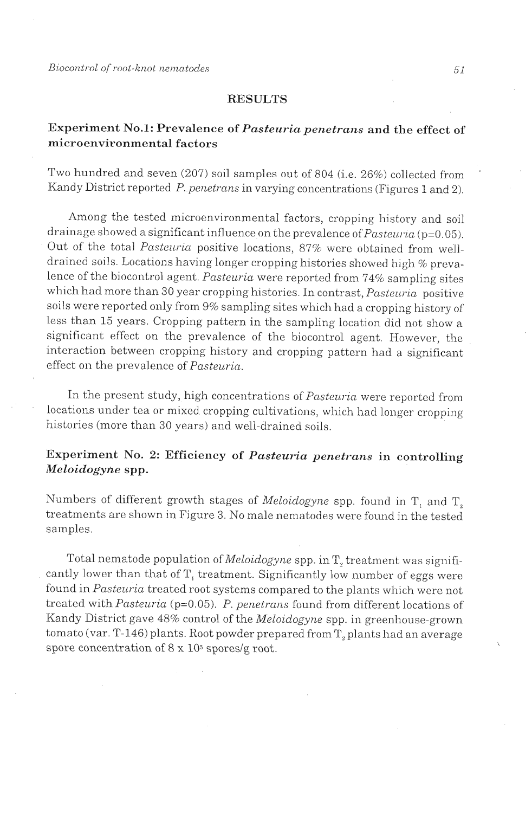Biocontrol of root-knot nematodes

### **RESULTS**

## Experiment No.1: Prevalence of *Pasteuria penetrans* and the effect of mi croen viron mental factors

Two hundred and seven (207) soil samples out of 804 (i.e. 26%) collected from Kandy District reported P. penetrans in varying concentrations (Figures 1 and 2).

Among the tested microenvironmental factors, cropping history and soil drainage showed a significant influence on the prevalence of  $Pasteuria$  (p=0.05). Out of the total Pasteuria positive locations, 87% were obtained from welldrained soils. Locations having longer cropping histories showed high % prevalence of the biocontrol agent. Pasteuria were reported from 74% sampling sites which had more than 30 year cropping histories. In contrast,  $Pasteuria$  positive soils were reported only from 9% sampling sites which had a cropping history of less than 15 years. Cropping pattern in the sampling location did not show a significant effect on the prevalence of the biocontrol agent. However, the interaction between cropping history and cropping pattern had a significant effect on the prevalence of  $Pasteuria$ .

In the present study, high concentrations of Pasteuria were reported from locations under tea or mixed cropping cultivations, which had longer cropping histories (more than 30 years) and well-drained soils.

# Experiment No. 2: Efficiency of *Pasteuria penetrans* in controlling *Meloidogyne* spp.

Numbers of different growth stages of Meloidogyne spp. found in  $T_1$  and  $T_2$ treatments are shown in Figure 3. No male nematodes were found in the tested samples

Total nematode population of Meloidogyne spp. in T, treatment was significantly lower than that of  $T<sub>1</sub>$  treatment. Significantly low number of eggs were found in Pasteuria treated root systems compared to the plants which were not treated with Pasteuria (p=0.05). P. penetrans found from different locations of Kandy District gave 48% control of the Meloidogyne spp. in greenhouse-grown tomato (var. T-146) plants. Root powder prepared from  $T_{2}$  plants had an average spore concentration of  $8 \times 10^5$  spores/g root.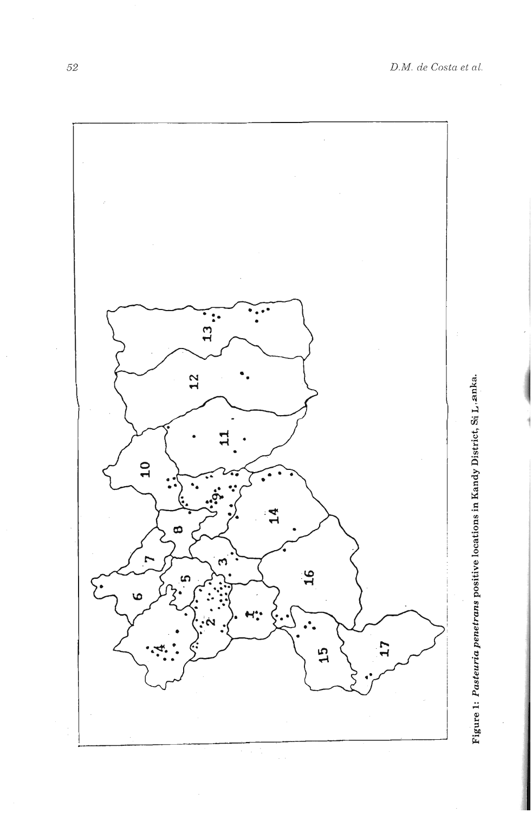



52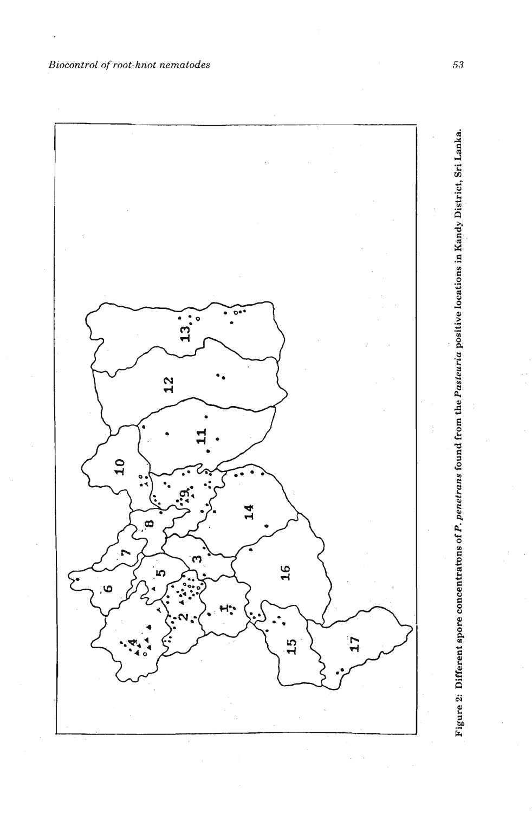*Biocontrol* of *root-knot nematodes* 



Figure 2: Different spore concentratons of P. penetrans found from the Pasteuria positive locations in Kandy District, Sri Lanka.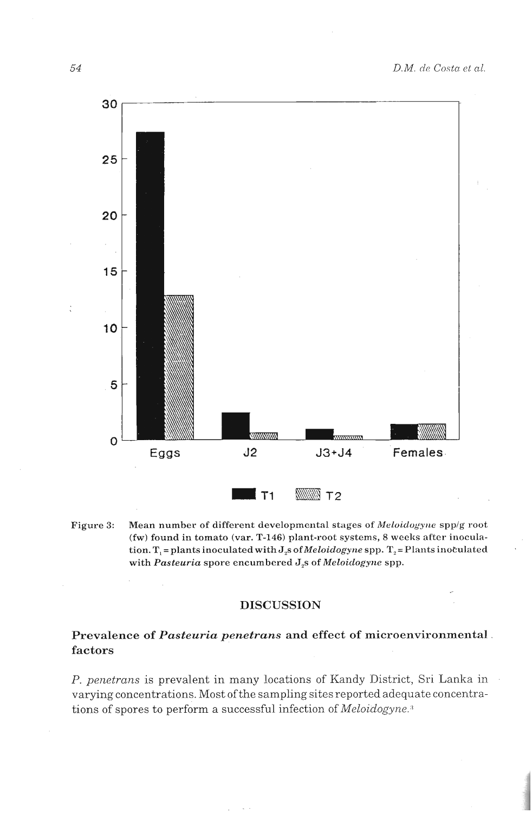

Figure 3: Mean number of different developmental stages of *Meloidogyne* spp/g root (fw) **found in tomato (var. T-146) plant-root systems, 8 weelrs after inocula-** $\text{tion.}$  **T**<sub>1</sub> = plants inoculated with  $J_z$ s of *Meloidogyne* spp. T<sub>2</sub> = Plants inoculated **with** *Pasteuria* **spore encumbered J,s of** *Meloiclogyi~e* **spp.** 

## **DISCUSSION**

## Prevalence of Pasteuria penetrans and effect of microenvironmental. **factors**

*P. penetrans* is prevalent in many locations of Kandy District, Sri Lanka in varying concentrations. Most ofthe sampling sites reported adequate concentrations of spores to perform a successful infection of *Meloidogyne*.<sup>3</sup>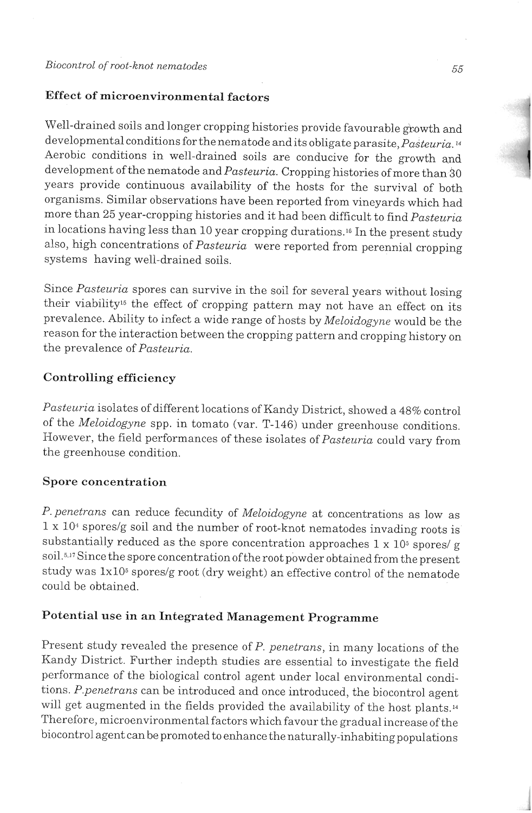# **Effect of microenvironmental factors**

Well-drained soils and longer cropping histories provide favourable growth and developmental conditions for the nematode and its obligate parasite, *Pasteuria*.<sup>14</sup> Aerobic conditions in well-drained soils are conducive for the growth and development ofthe nematode and *Pasteuria.* Cropping histories of more than 30 years provide continuous availability of the hosts for the survival of both organisms. Similar observations have been reported from vineyards which had more than 25 year-cropping histories and it had been difficult to find *Pasteuria* in locations having less than 10 year cropping durations.<sup>16</sup> In the present study also, high concentrations of *Pasteuria* were reported from perennial cropping systems having well-drained soils.

Since *Pasteuria* spores can survive in the soil for several years without losing their viability's the effect of cropping pattern may not have an effect on its prevalence. Ability to infect a wide range of hosts by *Meloidogyne* would be the reason for the interaction between the cropping pattern and cropping history on the prevalence of *Pasteuria*.

## **Controlling efficiency**

Pasteuria isolates of different locations of Kandy District, showed a 48% control of the *Meloidogyne* spp. in tomato (var. T-146) under greenhouse conditions. However, the field performances of these isolates of *Pasteuria* could vary from the greenhouse condition.

### **Spore concentration**

*P. penetrans* can reduce fecundity of *Meloidogyne* at concentrations as low as  $1 \times 10^4$  spores/g soil and the number of root-knot nematodes invading roots is substantially reduced as the spore concentration approaches  $1 \times 10^5$  spores/ g soil.<sup>5,17</sup> Since the spore concentration of the root powder obtained from the present study was  $1x10^5$  spores/g root (dry weight) an effective control of the nematode could be obtained.

# **Potential use in an Integrated Management Programme**

Present study revealed the presence of *P. penetrans*, in many locations of the Kandy District. Further indepth studies are essential to investigate the field performance of the biological control agent under local environmental conditions. *P.penetrans* can be introduced and once introduced, the biocontrol agent will get augmented in the fields provided the availability of the host plants.<sup>14</sup> Therefore, microenvironmental factors which favour the gradual increase of the biocontrol agent can be promoted to enhance the naturally-inhabiting populations

1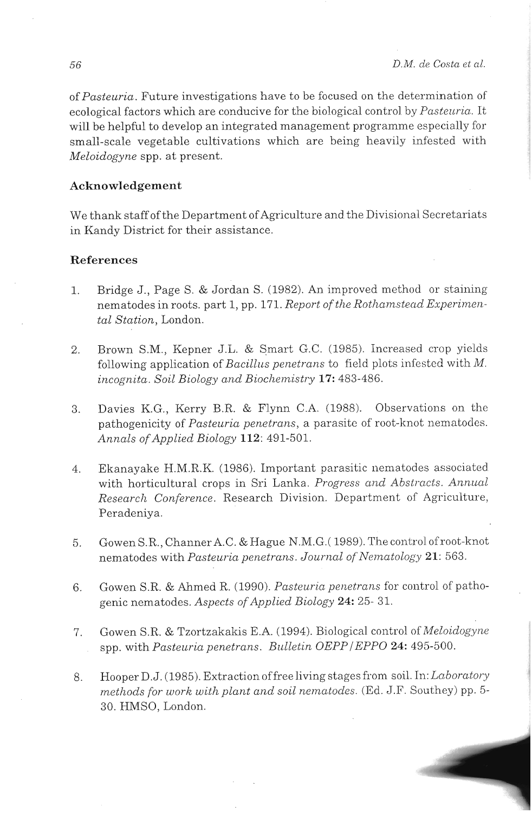of *Pasteuria.* Future investigations have to be focused on the determination of ecological factors which are conducive for the biological control by *Pasteuria*. It will be helpful to develop an integrated management programme especially for small-scale vegetable cultivations which are being heavily infested with *Meloidogyne* spp. at present.

## **Acknowledgement**

We thank staff of the Department of Agriculture and the Divisional Secretariats in Kandy District for their assistance.

### **References**

- 1. Bridge J., Page S. & Jordan S. (1982). An improved method or staining nematodes in roots. part 1, pp. 171. Report of the Rothamstead Experimen*tal Station,* London.
- 2. Brown S.M., Kepner J.L. & Smart G.C. (1985). Increased crop yields following application of *Bacillus penetrans* to field plots infested with M. *incognita. Soil Biology and Bioclze/nistry* **17:** 483-486.
- **3.** Davies K.G., Kerry B.R. & Flynn C.A. (1988). Observations on thc pathogenicity of *Pasteuria penetrans*, a parasite of root-knot nematodes. *Annals ofApplied Biology* **112:** 491-501.
- 4. Ekanayake H.M.R.K. (1986). Important parasitic nematodes associated with horticultural crops in Sri Lanka. *Progress and Abstracts. Annual Research Conference.* Research Division. Department of Agriculture, Peradeniya.
- 5. Gowen S.R., Channer A.C. & Hague N.M.G. (1989). The control of root-knot nematodes with *Pasteuria penetrans. Journal of'Nematology* 21: 563.
- 6. Gowen S.R. & Ahmed R. (1990). *Pasteuria penetrans* for control of pathogenic nematodes. Aspects of Applied Biology 24: 25-31.
- 7. Gowen S.R. & Tzortzakakis E.A. (1994). Biological control of *Meloidogyne* spp. with *Pasteuria penetrans. Bulletin OEPP/EPPO* 24: 495-500.
- 8. Hooper D.J. (1985). Extraction of free living stages from soil. In: *Laboratory methods for work with plant and soil nematodes.* (Ed. J.F. Southey) pp. 5-30. HMSO. London.